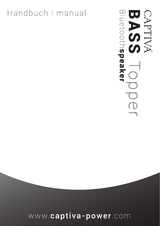# www.captiva-power.com

# Handbuch | manual

CAPTIVA<br>BAPTIVA<br>Bluetoothspeaker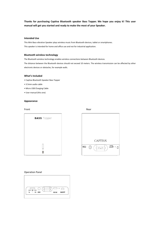**Thanks for purchasing Captiva Bluetooth speaker Bass Topper. We hope you enjoy it! This user manual will get you started and ready to make the most of your Speaker.**

# **Intended Use**

This Mini Bass-vibration Speaker plays wireless music from Bluetooth devices, tablet or smartphones. This speaker is intended for home and office use and not for industrial application.

# **Bluetooth wireless technology**

The Bluetooth wireless technology enables wireless connections between Bluetooth devices.

The distance between the Bluetooth devices should not exceed 10 meters. The wireless transmission can be affected by other electronic devices or obstacles, for example walls.

# **What's Included**

- Captiva Bluetooth Speaker Bass Topper
- 3.5mm audio cable
- Micro USB Charging Cable
- User manual (this one)

# **Appearance**

Front **Rear** 





# Operation Panel

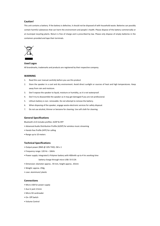# **Caution!**

This unit contains a battery. If the battery is defective, it should not be disposed of with household waste. Batteries can possibly contain harmful substances that can harm the environment and people`s health. Please dispose of the battery commercially or at municipal recycling plants. Return is free of charge and is prescribed by law. Please only dispose of empty batteries in the containers provided and tape their terminals.



# **Used Logos**

All brandmarks, trademarks and products are registered by their respective company.

# **WARNING**

- 1. Read this user manual carefully before you use this product
- 2. Store the speaker in a cool and dry environment. Avoid direct sunlight or sources of heat and high temperatures. Keep away from rain and moisture.
- 3. Don't expose the speaker to liquid, moisture or humidity, as it is not waterproof.
- 4. Don't try to disassemble the speaker as it may get damaged if you are not professional.
- 5. Lithium battery is non- removable. Do not attempt to remove the battery.
- 6. When disposing of the speaker, engage waste-electronic services for safety disposal.
- 7. Do not use alcohol, thinner or benzene for cleaning. Use soft cloth for cleaning.

#### **General Specifications**

Bluetooth v3.0 includes profiles: A2DP & HFP

• Advanced Audio Distribution Profile (A2DP) for wireless music streaming

- Hands-free Profile (HFP) for calling
- Range up to 10 meters

#### **Technical Specifications**

- Output power (RMS @ 10% THD): 2W x 1
- Frequency range: 120 Hz 16kHz
- Power supply: integrated Li-Polymer battery with 400mAh up to 4 hrs working time
	- battery charge through micro USB: 5V 0.5A
- Dimension: diameter approx.. 59 mm, height approx.. 65mm
- Weight: approx. 250g
- case: aluminium/ plastic

#### **Connections**

- Micro USB for power supply
- Aux In jack 3.5mm
- Micro SD cardreader
- On- Off Switch
- Volume Control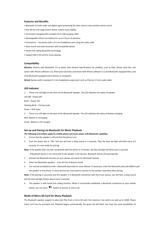# **Features and Benefits**

- Bluetooth 3.0 with audio and digital signal processing for clean, best-in-class wireless stereo sound
- One 40 mm full range drivers deliver superb music fidelity
- Convenient charging with included micro USB charging cable
- Rechargeable Lithium Ion battery for up to 4 hours of playtime
- Connects to any device with a 3.5 mm headphone port using the audio cable
- Auto-search and auto-reconnect with compatible device
- Hands-free calling Bluetooth technology
- Support Micro SD card for music playing

# **Compatibility**

**Wireless:** Devices with Bluetooth 2.0 or above (See General Specifications for profiles), such as iPad, iPhone (2nd Gen and newer with iPhone software 3.1), iPod touch (2nd Gen and newer with iPhone software 3.1) and Bluetooth equipped Macs and most Bluetooth equipped smart phones or computers.

**Wired:** Devices with a standard 3.5 mm headphone output port such as iPod via 3.5 mm audio cable

#### **LED Indicator**

1. There is an LED light on the front of the Bluetooth Speaker. The LED indicates the status of speaker.

*LED Off* – Power OFF

*BLUE* – Power ON

*Flashing BLUE* – Pairing mode

Green – AUX input

2. There is an LED light on the back of the Bluetooth Speaker. The LED indicates the status of battery charging.

*RED* –Battery is recharging

Green –Battery is full charged

# **Set-up and Pairing via Bluetooth for Music Playback**

**The following instructions apply for mobile phone and music player with Bluetooth capability.**

- 1. Ensure that the speaker is off and that the phone is on.
- 2. Push the power key to "ON "and you will hear a beep sound in 3 seconds. Then the blue led light will blink every 0.5 seconds. It's now ready for pairing.

**Note:** If the speaker does not pair successfully with the device in 3 minutes, the blue led light will blink every 3 seconds.

If Bluetooth device is not connected to the speaker in 30 minutes, Bluetooth will be off automatically.

- 3. Activate the Bluetooth function on your phone and search for Bluetooth devices.
- 4. Select the Bluetooth speakers from the list of devices found.
- 5. You may be prompted to enter a Bluetooth passcode for some devices. If necessary, enter the Bluetooth passcode 0000 to pair the speaker to the phone. In some devices you may need to connect to the speaker separately after pairing.

**Note:** If the pairing is successful and the speaker is in Bluetooth connection with the music device, you will hear a beep sound and the blue led light flashes about every 2 seconds.

6. This speaker is with hands free calling function. When it successfully establishes a Bluetooth connection to your mobile phone, you can press  $\blacktriangleright$  button to answer or end a call.

# **Mode of Micro SD Card for Music Playback**

The Bluetooth speaker support to play mp3 files from a micro SD card, the maximum size which can add up to 16GB. Please insert card into the provided slot. Playback begins automatically, the green led will blink. You have the same possibilities of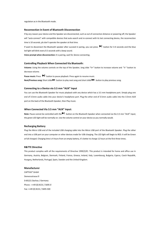regulation as in the Bluetooth mode.

#### **Reconnection in Event of Bluetooth Disconnection**

If by any reason your device and the Speaker are disconnected, such as out of connection distance or powering off, the Speaker will "auto-connect" with compatible devices that auto-search and re-connect with its last connecting device, the reconnection time is 10 seconds, pls don't operate the speaker at that time.

If want to disconnect the Bluetooth speaker after succeed in paring, you can press  $\blacktriangleright$  button for 3-4 seconds and the blue led light will blink every 0.5 seconds with a beep sound.

**Voice prompt when disconnection:** It is pairing, wait for device connecting.

# **Controlling Playback When Connected Via Bluetooth:**

**Volume:** Using the volume controls on the top of the Speaker, long slide "V+" button to increase volume and "V-" button to decrease volume.

**Pause music:** Press  $\blacksquare$  button to pause playback. Press again to resume music. Next/Previous song: Short slide **button to play next song and short slide <b>44** button to play previous song.

# **Connecting to a Device via 3.5 mm "AUX" Input**

You can use the Bluetooth Speaker for music playback with any device which has a 3.5 mm headphone port. Simply plug one end of 3.5mm audio cable into your device's headphone port. Plug the other end of 3.5mm audio cable into the 3.5mm AUX port on the back of the Bluetooth Speaker, then Play music.

# **When Connected Via 3.5 mm "AUX" Input:**

**Note:** Pause cannot be controlled with the button on the Bluetooth Speaker when connected via the 3.5 mm "AUX" input; the green LED light will be normally on. Use the volume control on your device as you normally would.

#### **Recharging Battery**

Plug the Micro USB end of the included USB charging cable into the Micro USB port of the Bluetooth Speaker. Plug the other end into a USB port on your computer or other devices made for USB charging. The LED light will begin to RED. It will be Green at full charged. Charging time is 4 hours from an empty battery, it's better to charge 12 hours at the first three times.

# **R&TTE Directive**

This product complies with all the requirements of Directive 1999/5/EC. This product is intended for home and office use in Germany, Austria, Belgium, Denmark, Finland, France, Greece, Ireland, Italy, Luxembourg, Bulgaria, Cyprus, Czech Republik, Hungary, Netherlands, Portugal, Spain, Sweden and the United Kingdom.

#### **Manufacturer**

CAPTIVA® GmbH Siemensstrasse 9 D-85221 Dachau / Germany Phone : ++49 (0) 8131 / 5695-0 Fax: ++49 (0) 8131 / 5695-500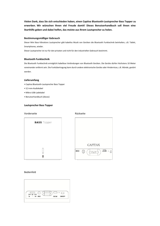**Vielen Dank, dass Sie sich entschieden haben, einen Captiva Bluetooth-Lautsprecher Bass Topper zu erwerben. Wir wünschen Ihnen viel Freude damit! Dieses Benutzerhandbuch soll Ihnen eine Starthilfe geben und dabei helfen, das meiste aus Ihrem Lautsprecher zu holen.**

# **Bestimmungsmäßiger Gebrauch**

Dieser Mini Bass-Vibrations Lautsprecher gibt kabellos Musik von Geräten die Bluetooth Funktechnik beinhalten, z.B. Tablet, Smartphones, wieder.

Dieser Lautsprecher ist nur für den privaten und nicht für den industriellen Gebrauch bestimmt.

# **Bluetooth Funktechnik**

Die Bluetooth Funktechnik ermöglicht kabellose Verbindungen von Bluetooth Geräten. Die Geräte dürfen höchstens 10 Meter voneinander entfernt sein. Die Funkübertragung kann durch andere elektronische Geräte oder Hindernisse, z.B. Wände, gestört werden.

# **Lieferumfang**

- Captiva Bluetooth-Lautsprecher Bass Topper
- 3,5-mm-Audiokabel
- Mikro-USB-Ladekabel
- Benutzerhandbuch (dieses)

# **Lautsprecher Bass Topper**

# Vorderseite Rückseite





# Bedienfeld

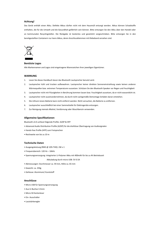# **Achtung!**

Das Gerät enthält einen Akku. Defekte Akkus dürfen nicht mit dem Hausmüll entsorgt werden. Akkus können Schadstoffe enthalten, die für die Umwelt und die Gesundheit gefährlich sein können. Bitte entsorgen Sie den Akku über den Handel oder an kommunalen Recyclingstellen. Die Rückgabe ist kostenlos und gesetzlich vorgeschrieben. Bitte entsorgen Sie in den bereitgestellten Containern nur leere Akkus, deren Anschlussklemmen mit Klebeband versehen sind.



# **Benützte Logos**

Alle Markennamen und Logos sind eingetragene Warenzeichen ihrer jeweiligen Eigentümer.

# **WARNUNG**

- 1. Lesen Sie dieses Handbuch bevor das Bluetooth Lautsprecher benutzt wird.
- 2. Lautsprecher kühl und trocken aufbewahren. Lautsprecher keiner direkten Sonneneinstrahlung sowie keinen anderen Wärmequellen bzw. extremen Temperaturen aussetzen. Schützen Sie den Bluetooth Speaker vor Regen und Feuchtigkeit
- 3. Lautsprecher nicht mit Flüssigkeiten in Berührung kommen lassen bzw. Feuchtigkeit aussetzen, da er nicht wasserdicht ist.
- 4. Lautsprecher nicht auseinandernehmen, da durch nicht sachgemäße Demontage Schäden daran entstehen.
- 5. Die Lithium-Ionen-Batterie kann nicht entfernt werden. Nicht versuchen, die Batterie zu entfernen.
- 6. Lautsprecher ausschließlich bei einer Sammelstelle für Elektrogeräte entsorgen.
- 7. Zur Reinigung niemals Alkohol, Verdünnung oder Waschbenzin verwenden.

#### **Allgemeine Spezifikationen**

Bluetooth v3.0 umfasst folgende Profile: A2DP & HFP

- Advanced Audio Distribution Profile (A2DP) für die drahtlose Übertragung von Audiosignalen
- Hands-free Profile (HFP) zum Freisprechen
- Reichweite von bis zu 10 m

#### **Technische Daten**

- Ausgangsleistung (RMS @ 10% THD): 2W x 1
- Frequenzbereich: 120 Hz 16kHz
- Spannungsversorgung: integrierter Li-Polymer Akku mit 400mAh für bis zu 4h Betriebszeit

Akkuladung durch micro USB: 5V 0.5A

- Abmessungen: Durchmesser ca. 59 mm, Höhe ca. 65 mm
- Gewicht: ca. 250g
- Gehäuse: Aluminium/ Kunststoff

#### **Anschlüsse**

- Micro USB für Spannungsversorgung
- Aux In Buchse 3.5mm
- Micro SD Kartenleser
- Ein- Ausschalter
- Lautstärkeregler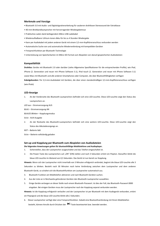#### **Merkmale und Vorzüge**

- Bluetooth 3.0 mit Audio- und Digitalsignalverarbeitung für sauberen drahtlosen Stereosound der Extraklasse
- 40-mm-Breitbandlautsprecher mit hervorragender Wiedergabetreue
- Praktisches Laden dank beiliegendem Mikro-USB-Ladekabel
- Wiederaufladbarer Lithium-Ionen-Akku für bis zu 4 Stunden Wiedergabe
- Kann per Audiokabel mit jedem anderen Gerät mit einem 3,5-mm-Kopfhöreranschluss verbunden werden
- Automatische Suche von und automatische Wiederverbindung mit kompatiblen Geräten
- Freisprechfunktion per Bluetooth-Technologie
- Unterstützung von Speicherkarten im Mikro-SD-Format zum Abspielen von darauf gespeicherten Audiodateien

#### **Kompatibilität**

**Drahtlos:** Geräte mit Bluetooth 2.0 oder darüber (siehe Allgemeine Spezifikationen für die entsprechenden Profile), wie iPad, iPhone (2. Generation und neuer mit iPhone Software 3.1), iPod touch (2. Generation und neuer mit iPhone Software 3.1) sowie Macs mit Bluetooth und alle anderen Smartphones oder Computer, die über Bluetoothfähigkeiten verfügen **Kabelgebunden:** Per 3,5-mm-Audiokabel mit Geräten, die über einen standardmäßigen 3,5-mm-Kopfhöreranschluss verfügen (wie iPods)

#### **LED-Anzeige**

1. An der Vorderseite des Bluetooth-Lautsprechers befindet sich eine LED-Leuchte. Diese LED-Leuchte zeigt den Status des Lautsprechers an.

*LED aus* - Stromversorgung AUS

*BLAU* – Stromversorgung AN

*BLAUES Blinken* – Kopplungsmodus

Grün - AUX-Ausgabe

- 2. An der Rückseite des Bluetooth-Lautsprechers befindet sich eine weitere LED-Leuchte. Diese LED-Leuchte zeigt den Status des Akkuladevorgangs an.
- *ROT*  Batterie lädt
- Grün Batterie vollständig geladen

#### **Set-up und Kopplung per Bluetooth zum Abspielen von Audiodateien**

**Die folgenden Anweisungen gelten für bluetoothfähige Mobiltelefone und Audioplayer.**

- 1. Sicherstellen, dass der Lautsprecher ausgeschaltet und das Telefon eingeschaltet ist.
- 2. Die Power-Taste des Lautsprechers auf "ON" (EIN) stellen und nach 3 Sekunden ertönt ein Piepton. Daraufhin blinkt die blaue LED-Leuchte im Abstand von 0,5 Sekunden. Das Gerät ist nun bereit zur Kopplung.

**Hinweis:** Wenn sich der Lautsprecher nicht innerhalb von 3 Minuten erfolgreich verbindet, beginnt die blaue LED-Leuchte alle 3 Sekunden zu blinken. Besteht nach 30 Minuten noch keine Verbindung zwischen dem Lautsprecher und dem anderen Bluetooth-Gerät, so schaltet sich die Bluetoothfunktion am Lautsprecher automatisch aus.

- 3. Bluetooth-Funktion am Mobiltelefon aktivieren und nach Bluetooth-Geräten suchen.
- 4. Aus der Liste an in Reichweite gefundenen Geräten den Bluetooth-Lautsprecher auswählen.
- 5. Einige Geräte verlangen an dieser Stelle nach einem Bluetooth-Passwort. Ist dies der Fall, das Bluetooth-Passwort 0000 eingeben. Bei einigen Geräten muss der Lautsprecher nach der Kopplung separat verbunden werden.

**Hinweis:** Ist die Kopplung erfolgreich verlaufen und der Lautsprecher ist per Bluetooth mit dem Audiogerät verbunden, ertönt ein Piepsignal und die blaue LED-Leuchte blinkt alle 2 Sekunden.

6. Dieser Lautsprecher verfügt über eine Freisprechfunktion. Sobald eine Bluetoothverbindung mit Ihrem Mobiltelefon besteht, können Anrufe durch Drücken der  $\blacktriangleright$ ll-Taste beantwortet bzw. beendet werden.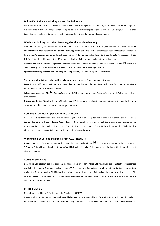#### **Mikro-SD-Modus zur Wiedergabe von Audiodateien**

Der Bluetooth Lautsprecher kann MP3-Dateien von einer Mikro-SD-Speicherkarte von insgesamt maximal 16 GB wiedergeben. Die Karte bitte in den dafür vorgesehenen Steckplatz stecken. Die Wiedergabe beginnt automatisch und die grüne LED-Leuchte beginnt zu blinken. Es sind die gleichen Einstellmöglichkeiten wie im Bluetoothmodus vorhanden.

#### **Wiederverbindung nach einer Trennung der Bluetoothverbindung**

Sollte die Verbindung zwischen Ihrem Gerät und dem Lautsprecher unterbrochen werden (beispielsweise durch Überschreiten der Reichweite oder Abschalten der Stromversorgung), sucht der Lautsprecher automatisch nach kompatiblen Geräten in Reichweite (Autosearch) und verbindet sich automatisch mit dem zuletzt verbundenen Gerät aus der Liste (Autoreconnect). Die Zeit für die Wiederverbindung beträgt 10 Sekunden – in dieser Zeit den Lautsprecher bitte nicht bedienen.

Möchten Sie den Bluetoothlautsprecher während einer bestehenden Kopplung trennen, drücken Sie die HI-Taste 3-4 Sekunden lang, bis die blaue LED-Leuchte alle 0,5 Sekunden blinkt und ein Piepsignal ertönt.

**Sprachaufforderung während der Trennung:** Kopplung besteht, auf Verbindung des Geräts warten.

#### **Steuerung der Wiedergabe während einer bestehenden Bluetoothverbindung:**

Lautstärke: Mithilfe der Lautstärkeregler oben auf dem Lautsprecher kann die Lautstärke durch langes Streichen der "V+"-Taste erhöht und der "V-"Taste gesenkt werden.

**Wiedergabe pausieren:** Die -Taste drücken, um die Wiedergabe anzuhalten. Erneut drücken, um die Wiedergabe wieder aufzunehmen.

Nächster/Vorheriger Titel: Durch kurzes Streichen der ▶I-Taste springt die Wiedergabe zum nächsten Titel und durch kurzes Streichen der  $\blacktriangleleft$ -Taste kehrt sie zum vorherigen Titel zurück.

# **Verbindung des Geräts per 3,5-mm-AUX-Anschluss**

Der Bluetooth-Lautsprecher kann zur Audiowiedergabe mit Geräten jeder Art verbunden werden, die über einen 3,5-mm-Kopfhöreranschluss verfügen. Dazu einfach ein 3,5-mm-Audiokabel mit dem Kopfhöreranschluss des entsprechenden Geräts verbinden. Das andere Ende des 3,5-mm-Audiokabels mit dem 3,5-mm-AUX-Anschluss an der Rückseite des Bluetooth-Lautsprechers verbinden und anschließend die Wiedergabe starten.

# **Während einer Verbindung per 3,5-mm-AUX-Anschluss:**

**Hinweis:** Die Pause-Funktion des Bluetooth-Lautsprechers kann nicht mit der Taste gesteuert werden, während dieser per 3,5-mm-AUX-Anschluss verbunden ist. Die grüne LED-Leuchte ist dabei üblicherweise an. Die Lautstärke kann wie gehabt eingestellt werden.

#### **Aufladen des Akkus**

Den Mikro-USB-Stecker des beiliegenden USB-Ladekabels mit dem Mikro-USB-Anschluss des Bluetooth Lautsprechers verbinden. Das andere Ende des Kabels mit dem USB-Anschluss Ihres Computers bzw. eines anderen für das Laden per USB geeigneten Geräts verbinden. Die LED-Leuchte beginnt rot zu leuchten. Ist der Akku vollständig geladen, leuchtet sie grün. Die Ladezeit bei erschöpftem Akku beträgt 4 Stunden – bei den ersten 3 Ladungen nach Erstinbetriebnahme empfiehlt sich jedoch eine Ladezeit von 12 Stunden.

# **R&TTE Richtlinie**

Dieses Produkt erfüllt die Anforderungen der Richtlinie 1999/5/EC.

Dieses Produkt ist für den privaten und gewerblichen Gebrauch in Deutschland, Österreich, Belgien, Dänemark, Finnland, Frankreich, Griechenland, Irland, Italien, Luxemburg, Bulgarien, Zypern, der Tschechischen Republik, Ungarn, den Niederlanden,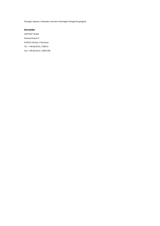Portugal, Spanien, Schweden und dem Vereinigten Königreich geeignet.

# **Hersteller**

CAPTIVA® GmbH Siemensstrasse 9 D-85221 Dachau / Germany Tel : ++49 (0) 8131 / 5695-0 Fax: ++49 (0) 8131 / 5695-500